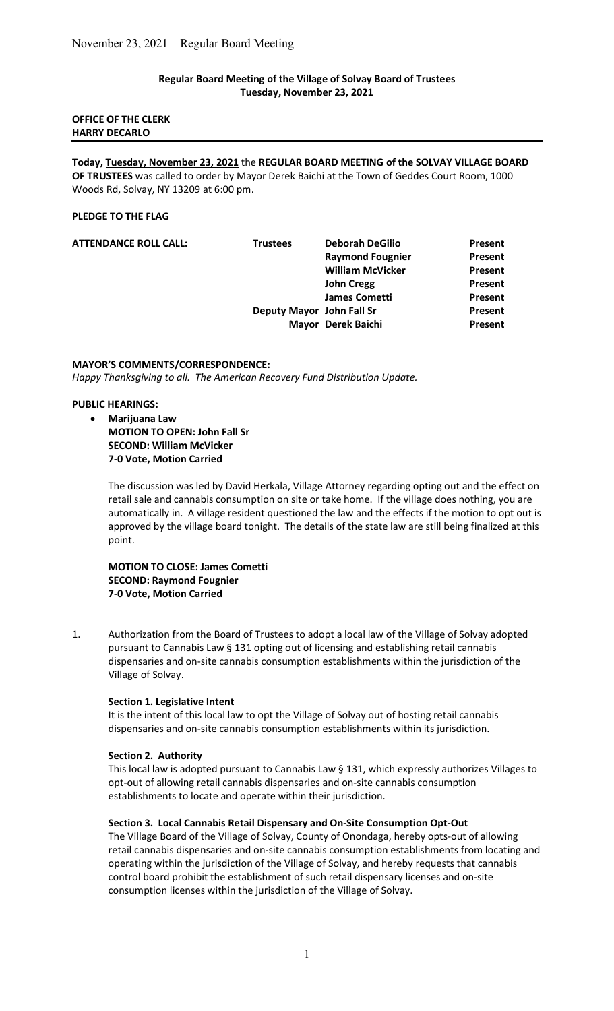#### Regular Board Meeting of the Village of Solvay Board of Trustees Tuesday, November 23, 2021

#### OFFICE OF THE CLERK HARRY DECARLO

Today, Tuesday, November 23, 2021 the REGULAR BOARD MEETING of the SOLVAY VILLAGE BOARD OF TRUSTEES was called to order by Mayor Derek Baichi at the Town of Geddes Court Room, 1000 Woods Rd, Solvay, NY 13209 at 6:00 pm.

#### PLEDGE TO THE FLAG

| <b>ATTENDANCE ROLL CALL:</b> | <b>Trustees</b>           | <b>Deborah DeGilio</b>  | Present        |
|------------------------------|---------------------------|-------------------------|----------------|
|                              |                           | <b>Raymond Fougnier</b> | <b>Present</b> |
|                              |                           | <b>William McVicker</b> | <b>Present</b> |
|                              |                           | <b>John Cregg</b>       | Present        |
|                              |                           | <b>James Cometti</b>    | Present        |
|                              | Deputy Mayor John Fall Sr |                         | Present        |
|                              |                           | Mayor Derek Baichi      | Present        |

#### MAYOR'S COMMENTS/CORRESPONDENCE:

Happy Thanksgiving to all. The American Recovery Fund Distribution Update.

#### PUBLIC HEARINGS:

- Marijuana Law
	- MOTION TO OPEN: John Fall Sr SECOND: William McVicker 7-0 Vote, Motion Carried

The discussion was led by David Herkala, Village Attorney regarding opting out and the effect on retail sale and cannabis consumption on site or take home. If the village does nothing, you are automatically in. A village resident questioned the law and the effects if the motion to opt out is approved by the village board tonight. The details of the state law are still being finalized at this point.

MOTION TO CLOSE: James Cometti SECOND: Raymond Fougnier 7-0 Vote, Motion Carried

1. Authorization from the Board of Trustees to adopt a local law of the Village of Solvay adopted pursuant to Cannabis Law § 131 opting out of licensing and establishing retail cannabis dispensaries and on-site cannabis consumption establishments within the jurisdiction of the Village of Solvay.

### Section 1. Legislative Intent

 It is the intent of this local law to opt the Village of Solvay out of hosting retail cannabis dispensaries and on-site cannabis consumption establishments within its jurisdiction.

#### Section 2. Authority

 This local law is adopted pursuant to Cannabis Law § 131, which expressly authorizes Villages to opt-out of allowing retail cannabis dispensaries and on-site cannabis consumption establishments to locate and operate within their jurisdiction.

#### Section 3. Local Cannabis Retail Dispensary and On-Site Consumption Opt-Out

 The Village Board of the Village of Solvay, County of Onondaga, hereby opts-out of allowing retail cannabis dispensaries and on-site cannabis consumption establishments from locating and operating within the jurisdiction of the Village of Solvay, and hereby requests that cannabis control board prohibit the establishment of such retail dispensary licenses and on-site consumption licenses within the jurisdiction of the Village of Solvay.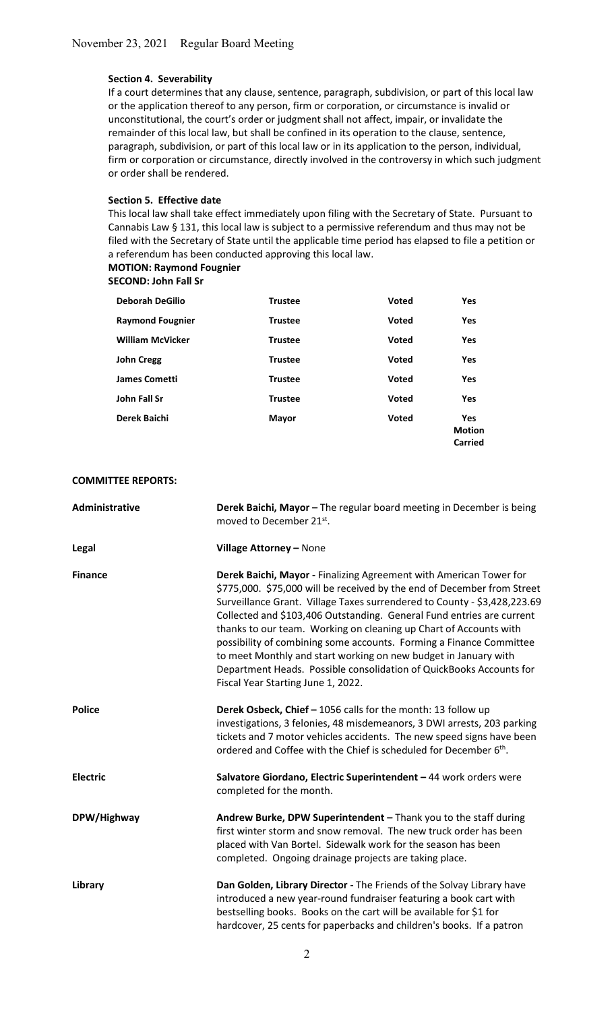#### Section 4. Severability

 If a court determines that any clause, sentence, paragraph, subdivision, or part of this local law or the application thereof to any person, firm or corporation, or circumstance is invalid or unconstitutional, the court's order or judgment shall not affect, impair, or invalidate the remainder of this local law, but shall be confined in its operation to the clause, sentence, paragraph, subdivision, or part of this local law or in its application to the person, individual, firm or corporation or circumstance, directly involved in the controversy in which such judgment or order shall be rendered.

#### Section 5. Effective date

 This local law shall take effect immediately upon filing with the Secretary of State. Pursuant to Cannabis Law § 131, this local law is subject to a permissive referendum and thus may not be filed with the Secretary of State until the applicable time period has elapsed to file a petition or a referendum has been conducted approving this local law. MOTION: Raymond Fougnier

# SECOND: John Fall Sr

| <b>Deborah DeGilio</b>  | <b>Trustee</b> | <b>Voted</b> | <b>Yes</b>                             |
|-------------------------|----------------|--------------|----------------------------------------|
| <b>Raymond Fougnier</b> | <b>Trustee</b> | <b>Voted</b> | <b>Yes</b>                             |
| <b>William McVicker</b> | <b>Trustee</b> | <b>Voted</b> | <b>Yes</b>                             |
| <b>John Cregg</b>       | <b>Trustee</b> | <b>Voted</b> | Yes                                    |
| <b>James Cometti</b>    | <b>Trustee</b> | <b>Voted</b> | Yes                                    |
| John Fall Sr            | <b>Trustee</b> | <b>Voted</b> | Yes                                    |
| Derek Baichi            | <b>Mayor</b>   | <b>Voted</b> | <b>Yes</b><br><b>Motion</b><br>Carried |

#### COMMITTEE REPORTS:

| Administrative  | Derek Baichi, Mayor - The regular board meeting in December is being<br>moved to December 21st.                                                                                                                                                                                                                                                                                                                                                                                                                                                                                                                                |  |
|-----------------|--------------------------------------------------------------------------------------------------------------------------------------------------------------------------------------------------------------------------------------------------------------------------------------------------------------------------------------------------------------------------------------------------------------------------------------------------------------------------------------------------------------------------------------------------------------------------------------------------------------------------------|--|
| Legal           | Village Attorney - None                                                                                                                                                                                                                                                                                                                                                                                                                                                                                                                                                                                                        |  |
| <b>Finance</b>  | Derek Baichi, Mayor - Finalizing Agreement with American Tower for<br>\$775,000. \$75,000 will be received by the end of December from Street<br>Surveillance Grant. Village Taxes surrendered to County - \$3,428,223.69<br>Collected and \$103,406 Outstanding. General Fund entries are current<br>thanks to our team. Working on cleaning up Chart of Accounts with<br>possibility of combining some accounts. Forming a Finance Committee<br>to meet Monthly and start working on new budget in January with<br>Department Heads. Possible consolidation of QuickBooks Accounts for<br>Fiscal Year Starting June 1, 2022. |  |
| <b>Police</b>   | Derek Osbeck, Chief - 1056 calls for the month: 13 follow up<br>investigations, 3 felonies, 48 misdemeanors, 3 DWI arrests, 203 parking<br>tickets and 7 motor vehicles accidents. The new speed signs have been<br>ordered and Coffee with the Chief is scheduled for December 6 <sup>th</sup> .                                                                                                                                                                                                                                                                                                                              |  |
| <b>Electric</b> | Salvatore Giordano, Electric Superintendent - 44 work orders were<br>completed for the month.                                                                                                                                                                                                                                                                                                                                                                                                                                                                                                                                  |  |
| DPW/Highway     | Andrew Burke, DPW Superintendent - Thank you to the staff during<br>first winter storm and snow removal. The new truck order has been<br>placed with Van Bortel. Sidewalk work for the season has been<br>completed. Ongoing drainage projects are taking place.                                                                                                                                                                                                                                                                                                                                                               |  |
| Library         | Dan Golden, Library Director - The Friends of the Solvay Library have<br>introduced a new year-round fundraiser featuring a book cart with<br>bestselling books. Books on the cart will be available for \$1 for<br>hardcover, 25 cents for paperbacks and children's books. If a patron                                                                                                                                                                                                                                                                                                                                       |  |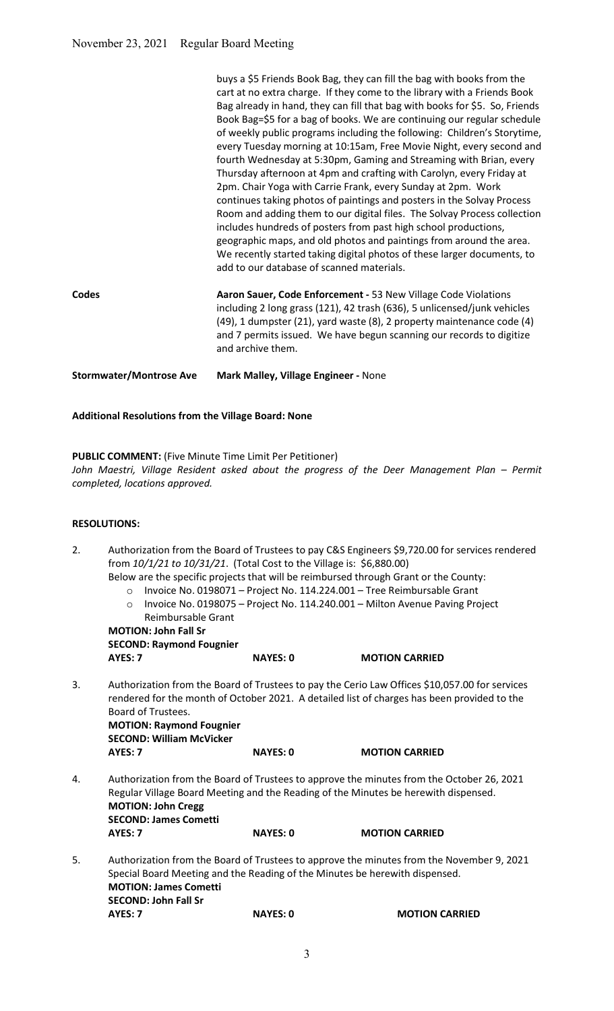# Additional Resolutions from the Village Board: None

# PUBLIC COMMENT: (Five Minute Time Limit Per Petitioner)

John Maestri, Village Resident asked about the progress of the Deer Management Plan – Permit completed, locations approved.

# RESOLUTIONS:

| 2. |                                                                                                     | from 10/1/21 to 10/31/21. (Total Cost to the Village is: \$6,880.00) | Authorization from the Board of Trustees to pay C&S Engineers \$9,720.00 for services rendered                                                                                                                                                  |  |
|----|-----------------------------------------------------------------------------------------------------|----------------------------------------------------------------------|-------------------------------------------------------------------------------------------------------------------------------------------------------------------------------------------------------------------------------------------------|--|
|    | $\circ$<br>$\circ$<br>Reimbursable Grant                                                            |                                                                      | Below are the specific projects that will be reimbursed through Grant or the County:<br>Invoice No. 0198071 - Project No. 114.224.001 - Tree Reimbursable Grant<br>Invoice No. 0198075 - Project No. 114.240.001 - Milton Avenue Paving Project |  |
|    | <b>MOTION: John Fall Sr</b>                                                                         |                                                                      |                                                                                                                                                                                                                                                 |  |
|    | <b>SECOND: Raymond Fougnier</b>                                                                     |                                                                      |                                                                                                                                                                                                                                                 |  |
|    | AYES: 7                                                                                             | <b>NAYES: 0</b>                                                      | <b>MOTION CARRIED</b>                                                                                                                                                                                                                           |  |
| 3. | Board of Trustees.<br><b>MOTION: Raymond Fougnier</b><br><b>SECOND: William McVicker</b><br>AYES: 7 | <b>NAYES: 0</b>                                                      | Authorization from the Board of Trustees to pay the Cerio Law Offices \$10,057.00 for services<br>rendered for the month of October 2021. A detailed list of charges has been provided to the<br><b>MOTION CARRIED</b>                          |  |
|    |                                                                                                     |                                                                      |                                                                                                                                                                                                                                                 |  |
| 4. | <b>MOTION: John Cregg</b><br><b>SECOND: James Cometti</b>                                           |                                                                      | Authorization from the Board of Trustees to approve the minutes from the October 26, 2021<br>Regular Village Board Meeting and the Reading of the Minutes be herewith dispensed.                                                                |  |
|    | <b>AYES: 7</b>                                                                                      | <b>NAYES: 0</b>                                                      | <b>MOTION CARRIED</b>                                                                                                                                                                                                                           |  |
| 5. | <b>MOTION: James Cometti</b><br><b>SECOND: John Fall Sr</b>                                         |                                                                      | Authorization from the Board of Trustees to approve the minutes from the November 9, 2021<br>Special Board Meeting and the Reading of the Minutes be herewith dispensed.                                                                        |  |
|    | AYES: 7                                                                                             | <b>NAYES: 0</b>                                                      | <b>MOTION CARRIED</b>                                                                                                                                                                                                                           |  |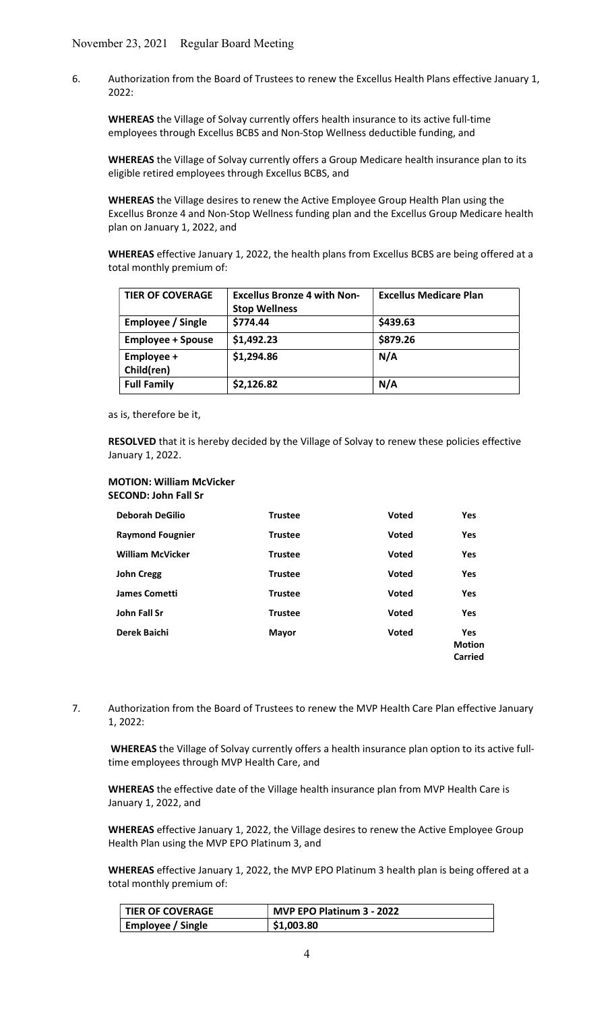6. Authorization from the Board of Trustees to renew the Excellus Health Plans effective January 1, 2022:

WHEREAS the Village of Solvay currently offers health insurance to its active full-time employees through Excellus BCBS and Non-Stop Wellness deductible funding, and

 WHEREAS the Village of Solvay currently offers a Group Medicare health insurance plan to its eligible retired employees through Excellus BCBS, and

WHEREAS the Village desires to renew the Active Employee Group Health Plan using the Excellus Bronze 4 and Non-Stop Wellness funding plan and the Excellus Group Medicare health plan on January 1, 2022, and

WHEREAS effective January 1, 2022, the health plans from Excellus BCBS are being offered at a total monthly premium of:

| <b>TIER OF COVERAGE</b>  | <b>Excellus Bronze 4 with Non-</b><br><b>Stop Wellness</b> | <b>Excellus Medicare Plan</b> |
|--------------------------|------------------------------------------------------------|-------------------------------|
| Employee / Single        | \$774.44                                                   | \$439.63                      |
| <b>Employee + Spouse</b> | \$1,492.23                                                 | \$879.26                      |
| Employee +<br>Child(ren) | \$1,294.86                                                 | N/A                           |
| <b>Full Family</b>       | \$2,126.82                                                 | N/A                           |

as is, therefore be it,

RESOLVED that it is hereby decided by the Village of Solvay to renew these policies effective January 1, 2022.

#### MOTION: William McVicker SECOND: John Fall Sr

| <b>Deborah DeGilio</b>  | <b>Trustee</b> | <b>Voted</b> | <b>Yes</b>                             |
|-------------------------|----------------|--------------|----------------------------------------|
| <b>Raymond Fougnier</b> | <b>Trustee</b> | Voted        | <b>Yes</b>                             |
| <b>William McVicker</b> | <b>Trustee</b> | <b>Voted</b> | Yes                                    |
| <b>John Cregg</b>       | <b>Trustee</b> | <b>Voted</b> | <b>Yes</b>                             |
| <b>James Cometti</b>    | <b>Trustee</b> | <b>Voted</b> | Yes                                    |
| John Fall Sr            | <b>Trustee</b> | <b>Voted</b> | <b>Yes</b>                             |
| Derek Baichi            | <b>Mayor</b>   | <b>Voted</b> | <b>Yes</b><br><b>Motion</b><br>Carried |

7. Authorization from the Board of Trustees to renew the MVP Health Care Plan effective January 1, 2022:

 WHEREAS the Village of Solvay currently offers a health insurance plan option to its active full time employees through MVP Health Care, and

WHEREAS the effective date of the Village health insurance plan from MVP Health Care is January 1, 2022, and

 WHEREAS effective January 1, 2022, the Village desires to renew the Active Employee Group Health Plan using the MVP EPO Platinum 3, and

 WHEREAS effective January 1, 2022, the MVP EPO Platinum 3 health plan is being offered at a total monthly premium of:

| <b>TIER OF COVERAGE</b> | MVP EPO Platinum 3 - 2022 |
|-------------------------|---------------------------|
| Employee / Single       | \$1,003.80                |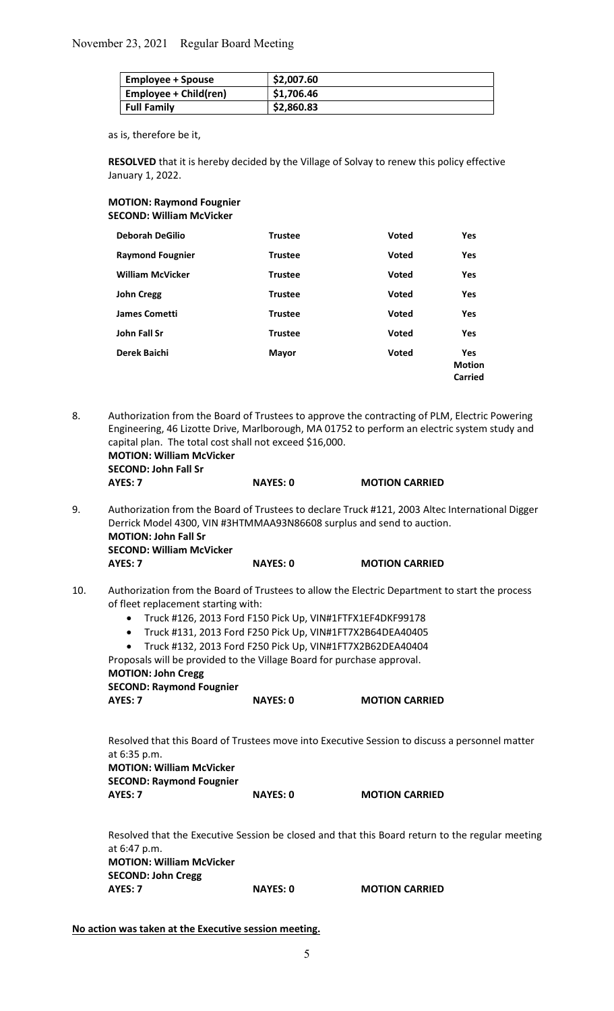| Employee + Spouse     | \$2,007.60 |
|-----------------------|------------|
| Employee + Child(ren) | \$1,706.46 |
| <b>Full Family</b>    | \$2,860.83 |

as is, therefore be it,

RESOLVED that it is hereby decided by the Village of Solvay to renew this policy effective January 1, 2022.

MOTION: Raymond Fougnier SECOND: William McVicker

| <b>Deborah DeGilio</b>  | <b>Trustee</b> | <b>Voted</b> | <b>Yes</b>                             |
|-------------------------|----------------|--------------|----------------------------------------|
| <b>Raymond Fougnier</b> | <b>Trustee</b> | <b>Voted</b> | Yes                                    |
| <b>William McVicker</b> | <b>Trustee</b> | <b>Voted</b> | Yes                                    |
| <b>John Cregg</b>       | <b>Trustee</b> | <b>Voted</b> | Yes                                    |
| <b>James Cometti</b>    | <b>Trustee</b> | <b>Voted</b> | Yes                                    |
| John Fall Sr            | <b>Trustee</b> | <b>Voted</b> | <b>Yes</b>                             |
| Derek Baichi            | <b>Mayor</b>   | <b>Voted</b> | <b>Yes</b><br><b>Motion</b><br>Carried |

8. Authorization from the Board of Trustees to approve the contracting of PLM, Electric Powering Engineering, 46 Lizotte Drive, Marlborough, MA 01752 to perform an electric system study and capital plan. The total cost shall not exceed \$16,000. MOTION: William McVicker

 SECOND: John Fall Sr AYES: 7 NAYES: 0 MOTION CARRIED

9. Authorization from the Board of Trustees to declare Truck #121, 2003 Altec International Digger Derrick Model 4300, VIN #3HTMMAA93N86608 surplus and send to auction. MOTION: John Fall Sr SECOND: William McVicker AYES: 7 NAYES: 0 MOTION CARRIED

- 10. Authorization from the Board of Trustees to allow the Electric Department to start the process of fleet replacement starting with:
	- Truck #126, 2013 Ford F150 Pick Up, VIN#1FTFX1EF4DKF99178
	- Truck #131, 2013 Ford F250 Pick Up, VIN#1FT7X2B64DEA40405
	- Truck #132, 2013 Ford F250 Pick Up, VIN#1FT7X2B62DEA40404

 Proposals will be provided to the Village Board for purchase approval. MOTION: John Cregg SECOND: Raymond Fougnier

| AYES: 7 |  | <b>NAYES: 0</b> | <b>MOTION CARRIED</b> |
|---------|--|-----------------|-----------------------|
|         |  |                 |                       |

 Resolved that this Board of Trustees move into Executive Session to discuss a personnel matter at 6:35 p.m.

 MOTION: William McVicker SECOND: Raymond Fougnier AYES: 7 NAYES: 0 MOTION CARRIED

 Resolved that the Executive Session be closed and that this Board return to the regular meeting at 6:47 p.m. MOTION: William McVicker SECOND: John Cregg AYES: 7 NAYES: 0 MOTION CARRIED

No action was taken at the Executive session meeting.